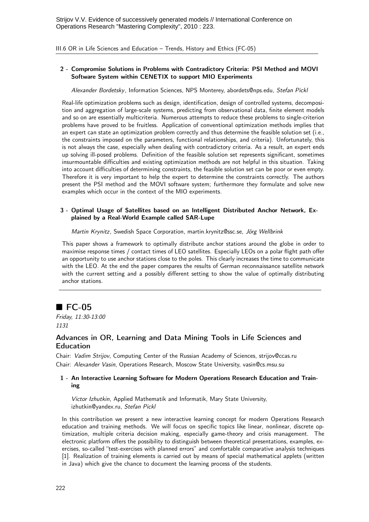III.6 OR in Life Sciences and Education – Trends, History and Ethics (FC-05)

## 2 - Compromise Solutions in Problems with Contradictory Criteria: PSI Method and MOVI Software System within CENETIX to support MIO Experiments

Alexander Bordetsky, Information Sciences, NPS Monterey, abordets@nps.edu, Stefan Pickl

Real-life optimization problems such as design, identification, design of controlled systems, decomposition and aggregation of large-scale systems, predicting from observational data, finite element models and so on are essentially multicriteria. Numerous attempts to reduce these problems to single-criterion problems have proved to be fruitless. Application of conventional optimization methods implies that an expert can state an optimization problem correctly and thus determine the feasible solution set (i.e., the constraints imposed on the parameters, functional relationships, and criteria). Unfortunately, this is not always the case, especially when dealing with contradictory criteria. As a result, an expert ends up solving ill-posed problems. Definition of the feasible solution set represents significant, sometimes insurmountable difficulties and existing optimization methods are not helpful in this situation. Taking into account difficulties of determining constraints, the feasible solution set can be poor or even empty. Therefore it is very important to help the expert to determine the constraints correctly. The authors present the PSI method and the MOVI software system; furthermore they formulate and solve new examples which occur in the context of the MIO experiments.

## 3 - Optimal Usage of Satellites based on an Intelligent Distributed Anchor Network, Explained by a Real-World Example called SAR-Lupe

Martin Krynitz, Swedish Space Corporation, martin.krynitz@ssc.se, Jörg Wellbrink

This paper shows a framework to optimally distribute anchor stations around the globe in order to maximise response times / contact times of LEO satellites. Especially LEOs on a polar flight path offer an opportunity to use anchor stations close to the poles. This clearly increases the time to communicate with the LEO. At the end the paper compares the results of German reconnaissance satellite network with the current setting and a possibly different setting to show the value of optimally distributing anchor stations.

# $\blacksquare$  FC-05

Friday, 11:30-13:00 1131

## Advances in OR, Learning and Data Mining Tools in Life Sciences and Education

Chair: Vadim Strijov, Computing Center of the Russian Academy of Sciences, strijov@ccas.ru Chair: Alexander Vasin, Operations Research, Moscow State University, vasin@cs.msu.su

## 1 - An Interactive Learning Software for Modern Operations Research Education and Training

Victor Izhutkin, Applied Mathematik and Informatik, Mary State University, izhutkin@yandex.ru, Stefan Pickl

In this contribution we present a new interactive learning concept for modern Operations Research education and training methods. We will focus on specific topics like linear, nonlinear, discrete optimization, multiple criteria decision making, especially game-theory and crisis management. The electronic platform offers the possibility to distinguish between theoretical presentations, examples, exercises, so-called "test-exercises with planned errors" and comfortable comparative analysis techniques [1]. Realization of training elements is carried out by means of special mathematical applets (written in Java) which give the chance to document the learning process of the students.